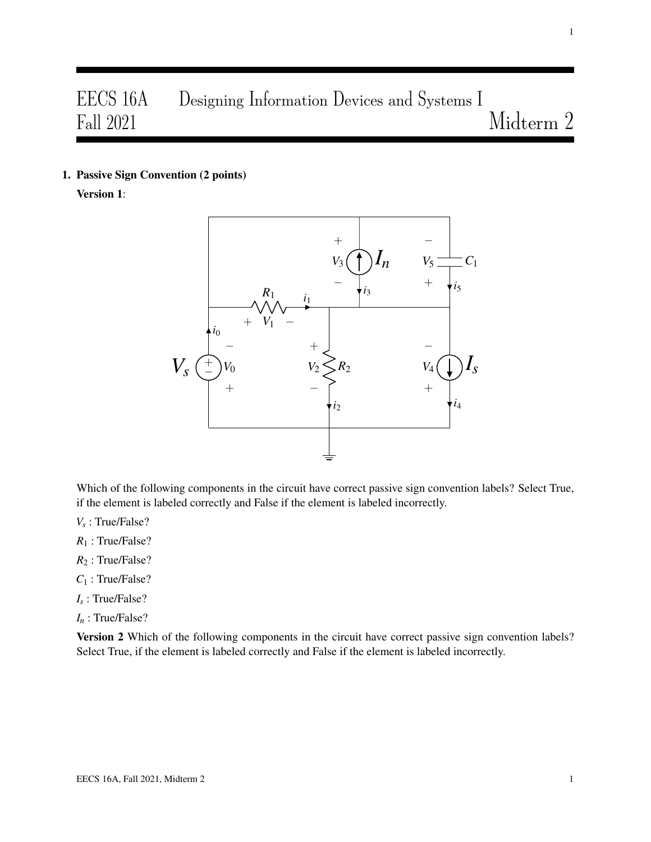# EECS 16A Designing Information Devices and Systems I Fall 2021 Midterm 2

1. Passive Sign Convention (2 points)

Version 1:



Which of the following components in the circuit have correct passive sign convention labels? Select True, if the element is labeled correctly and False if the element is labeled incorrectly.

- *Vs* : True/False?
- *R*<sup>1</sup> : True/False?
- *R*<sup>2</sup> : True/False?
- *C*<sup>1</sup> : True/False?
- *Is* : True/False?
- *I<sup>n</sup>* : True/False?

Version 2 Which of the following components in the circuit have correct passive sign convention labels? Select True, if the element is labeled correctly and False if the element is labeled incorrectly.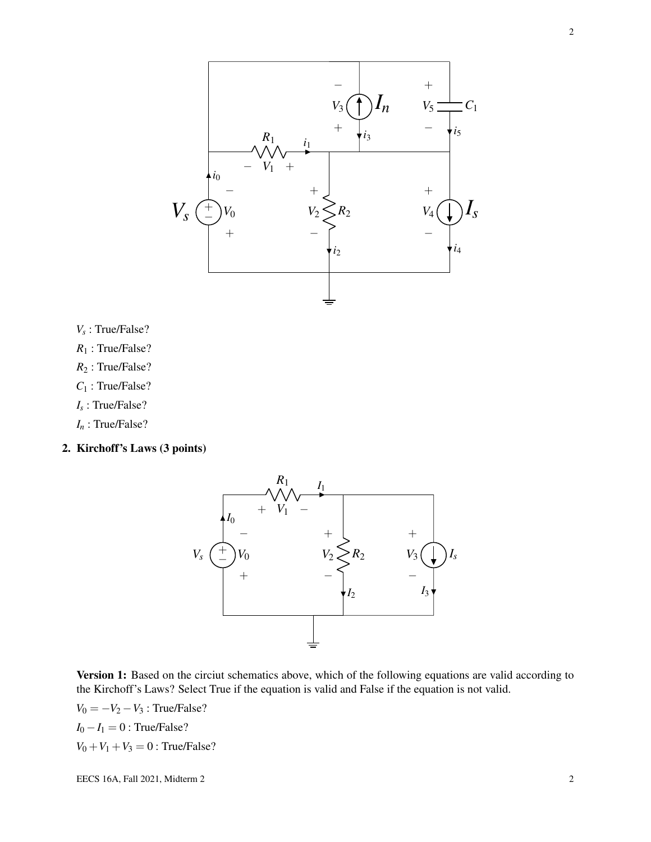

- *Vs* : True/False?
- *R*<sup>1</sup> : True/False?
- *R*<sup>2</sup> : True/False?
- *C*<sup>1</sup> : True/False?
- *Is* : True/False?
- *I<sup>n</sup>* : True/False?
- 2. Kirchoff's Laws (3 points)



Version 1: Based on the circiut schematics above, which of the following equations are valid according to the Kirchoff's Laws? Select True if the equation is valid and False if the equation is not valid.

 $V_0 = -V_2 - V_3$ : True/False?  $I_0 - I_1 = 0$ : True/False?  $V_0 + V_1 + V_3 = 0$ : True/False?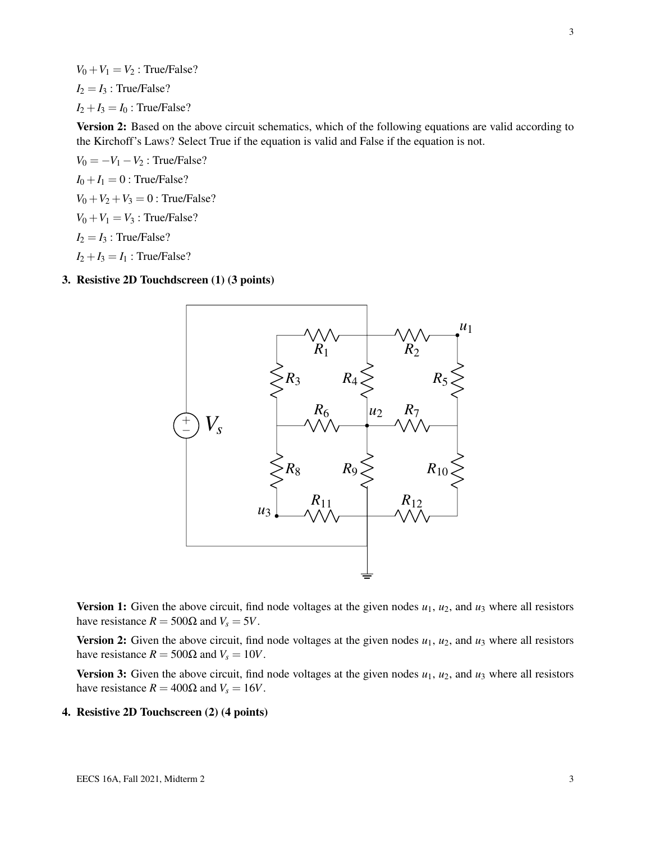$V_0 + V_1 = V_2$ : True/False?  $I_2 = I_3$ : True/False?  $I_2 + I_3 = I_0$ : True/False?

Version 2: Based on the above circuit schematics, which of the following equations are valid according to the Kirchoff's Laws? Select True if the equation is valid and False if the equation is not.

 $V_0 = -V_1 - V_2$ : True/False?  $I_0 + I_1 = 0$ : True/False?  $V_0 + V_2 + V_3 = 0$ : True/False?  $V_0 + V_1 = V_3$ : True/False?  $I_2 = I_3$ : True/False?  $I_2 + I_3 = I_1$ : True/False?

# 3. Resistive 2D Touchdscreen (1) (3 points)



**Version 1:** Given the above circuit, find node voltages at the given nodes  $u_1$ ,  $u_2$ , and  $u_3$  where all resistors have resistance  $R = 500\Omega$  and  $V_s = 5V$ .

Version 2: Given the above circuit, find node voltages at the given nodes  $u_1$ ,  $u_2$ , and  $u_3$  where all resistors have resistance  $R = 500\Omega$  and  $V_s = 10V$ .

Version 3: Given the above circuit, find node voltages at the given nodes  $u_1$ ,  $u_2$ , and  $u_3$  where all resistors have resistance  $R = 400\Omega$  and  $V_s = 16V$ .

4. Resistive 2D Touchscreen (2) (4 points)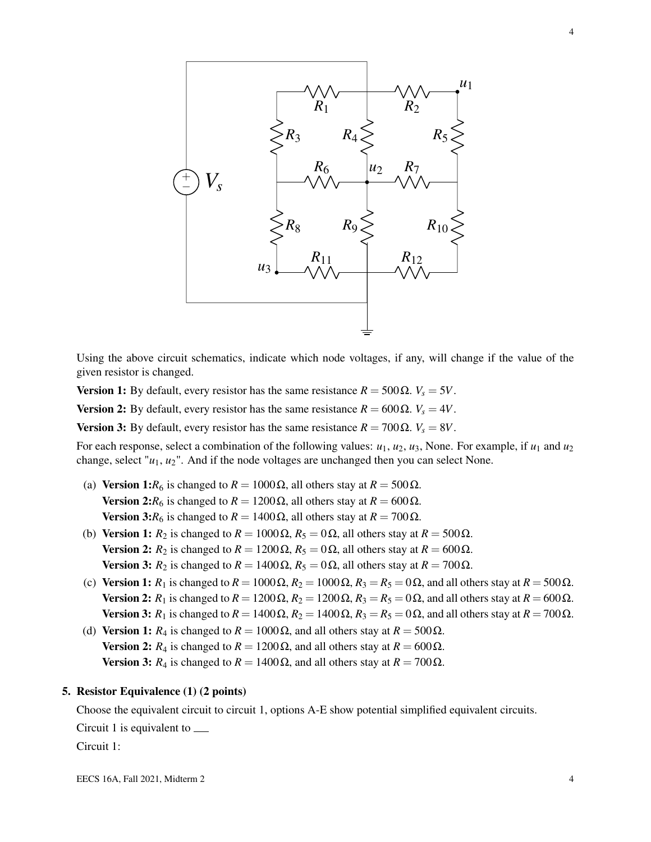

Using the above circuit schematics, indicate which node voltages, if any, will change if the value of the given resistor is changed.

Version 1: By default, every resistor has the same resistance  $R = 500 Ω$ .  $V_s = 5V$ .

Version 2: By default, every resistor has the same resistance  $R = 600Ω$ .  $V_s = 4V$ .

Version 3: By default, every resistor has the same resistance  $R = 700 \Omega$ .  $V_s = 8V$ .

For each response, select a combination of the following values:  $u_1, u_2, u_3$ , None. For example, if  $u_1$  and  $u_2$ change, select "*u*1, *u*2". And if the node voltages are unchanged then you can select None.

- (a) Version 1: $R_6$  is changed to  $R = 1000 \Omega$ , all others stay at  $R = 500 \Omega$ . Version 2: $R_6$  is changed to  $R = 1200 \Omega$ , all others stay at  $R = 600 \Omega$ . **Version 3:***R*<sub>6</sub> is changed to *R* = 1400 Ω, all others stay at *R* = 700 Ω.
- (b) Version 1:  $R_2$  is changed to  $R = 1000 \Omega$ ,  $R_5 = 0 \Omega$ , all others stay at  $R = 500 \Omega$ . Version 2:  $R_2$  is changed to  $R = 1200 \Omega$ ,  $R_5 = 0 \Omega$ , all others stay at  $R = 600 \Omega$ . Version 3:  $R_2$  is changed to  $R = 1400 \Omega$ ,  $R_5 = 0 \Omega$ , all others stay at  $R = 700 \Omega$ .
- (c) Version 1:  $R_1$  is changed to  $R = 1000 \Omega$ ,  $R_2 = 1000 \Omega$ ,  $R_3 = R_5 = 0 \Omega$ , and all others stay at  $R = 500 \Omega$ . Version 2: *R*<sub>1</sub> is changed to  $R = 1200 \Omega$ ,  $R_2 = 1200 \Omega$ ,  $R_3 = R_5 = 0 \Omega$ , and all others stay at  $R = 600 \Omega$ . Version 3:  $R_1$  is changed to  $R = 1400 \Omega$ ,  $R_2 = 1400 \Omega$ ,  $R_3 = R_5 = 0 \Omega$ , and all others stay at  $R = 700 \Omega$ .
- (d) Version 1:  $R_4$  is changed to  $R = 1000 \Omega$ , and all others stay at  $R = 500 \Omega$ . **Version 2:**  $R_4$  is changed to  $R = 1200 \Omega$ , and all others stay at  $R = 600 \Omega$ . **Version 3:**  $R_4$  is changed to  $R = 1400 \Omega$ , and all others stay at  $R = 700 \Omega$ .

### 5. Resistor Equivalence (1) (2 points)

Choose the equivalent circuit to circuit 1, options A-E show potential simplified equivalent circuits.

Circuit 1 is equivalent to

Circuit 1: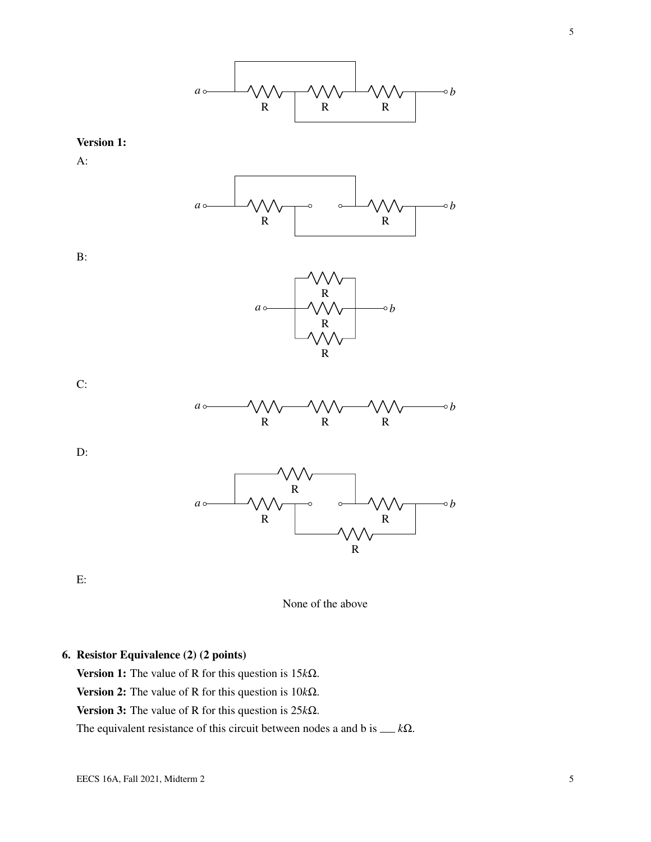

### Version 1:

A:



B:



C:



D:



E:



# 6. Resistor Equivalence (2) (2 points)

Version 1: The value of R for this question is 15*k*Ω.

Version 2: The value of R for this question is 10*k*Ω.

Version 3: The value of R for this question is 25*k*Ω.

The equivalent resistance of this circuit between nodes a and b is *k*Ω.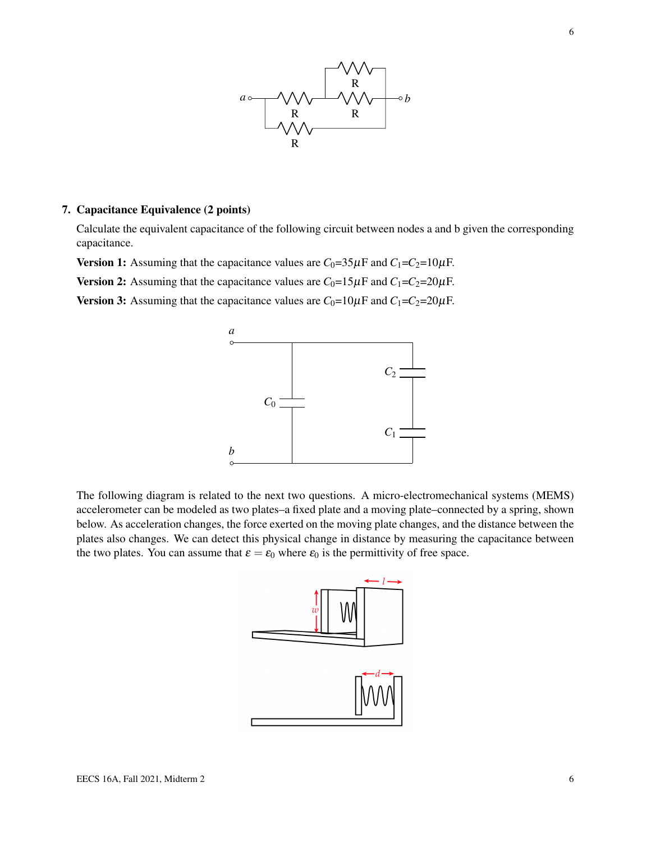

# 7. Capacitance Equivalence (2 points)

Calculate the equivalent capacitance of the following circuit between nodes a and b given the corresponding capacitance.

Version 1: Assuming that the capacitance values are  $C_0=35\,\mu\text{F}$  and  $C_1=C_2=10\,\mu\text{F}$ .

Version 2: Assuming that the capacitance values are  $C_0=15\mu$ F and  $C_1=C_2=20\mu$ F.

Version 3: Assuming that the capacitance values are  $C_0=10\mu F$  and  $C_1=C_2=20\mu F$ .



The following diagram is related to the next two questions. A micro-electromechanical systems (MEMS) accelerometer can be modeled as two plates–a fixed plate and a moving plate–connected by a spring, shown below. As acceleration changes, the force exerted on the moving plate changes, and the distance between the plates also changes. We can detect this physical change in distance by measuring the capacitance between the two plates. You can assume that  $\varepsilon = \varepsilon_0$  where  $\varepsilon_0$  is the permittivity of free space.

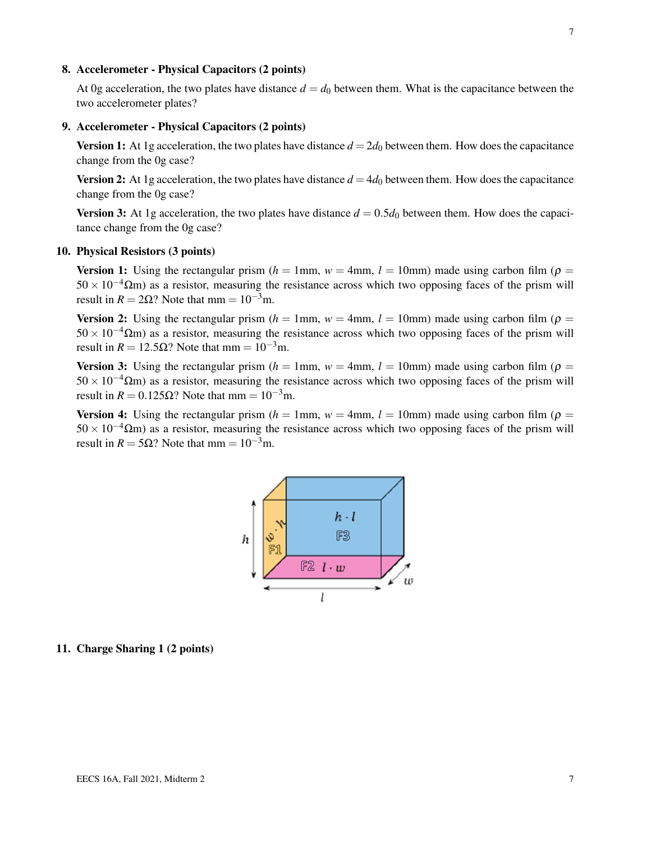### 8. Accelerometer - Physical Capacitors (2 points)

At 0g acceleration, the two plates have distance  $d = d_0$  between them. What is the capacitance between the two accelerometer plates?

### 9. Accelerometer - Physical Capacitors (2 points)

Version 1: At 1g acceleration, the two plates have distance  $d = 2d_0$  between them. How does the capacitance change from the 0g case?

**Version 2:** At 1g acceleration, the two plates have distance  $d = 4d_0$  between them. How does the capacitance change from the 0g case?

**Version 3:** At 1g acceleration, the two plates have distance  $d = 0.5d_0$  between them. How does the capacitance change from the 0g case?

### 10. Physical Resistors (3 points)

**Version 1:** Using the rectangular prism  $(h = 1$ mm,  $w = 4$ mm,  $l = 10$ mm) made using carbon film ( $\rho =$  $50 \times 10^{-4} \Omega$ m) as a resistor, measuring the resistance across which two opposing faces of the prism will result in  $R = 2\Omega$ ? Note that mm =  $10^{-3}$ m.

**Version 2:** Using the rectangular prism  $(h = 1$ mm,  $w = 4$ mm,  $l = 10$ mm) made using carbon film ( $\rho =$  $50 \times 10^{-4} \Omega$ m) as a resistor, measuring the resistance across which two opposing faces of the prism will result in  $R = 12.5\Omega$ ? Note that mm =  $10^{-3}$ m.

**Version 3:** Using the rectangular prism  $(h = 1$ mm,  $w = 4$ mm,  $l = 10$ mm) made using carbon film ( $\rho =$  $50 \times 10^{-4} \Omega$ m) as a resistor, measuring the resistance across which two opposing faces of the prism will result in  $R = 0.125\Omega$ ? Note that mm =  $10^{-3}$ m.

**Version 4:** Using the rectangular prism  $(h = 1$ mm,  $w = 4$ mm,  $l = 10$ mm) made using carbon film ( $\rho =$  $50 \times 10^{-4} \Omega$ m) as a resistor, measuring the resistance across which two opposing faces of the prism will result in  $R = 5\Omega$ ? Note that mm =  $10^{-3}$ m.



# 11. Charge Sharing 1 (2 points)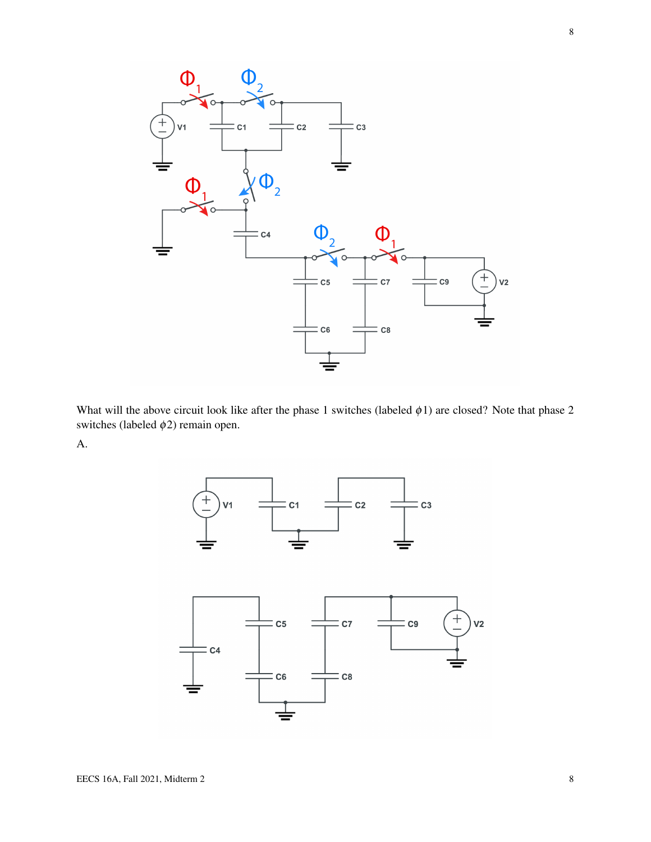

What will the above circuit look like after the phase 1 switches (labeled  $\phi$ 1) are closed? Note that phase 2 switches (labeled  $\phi$ 2) remain open.

A.

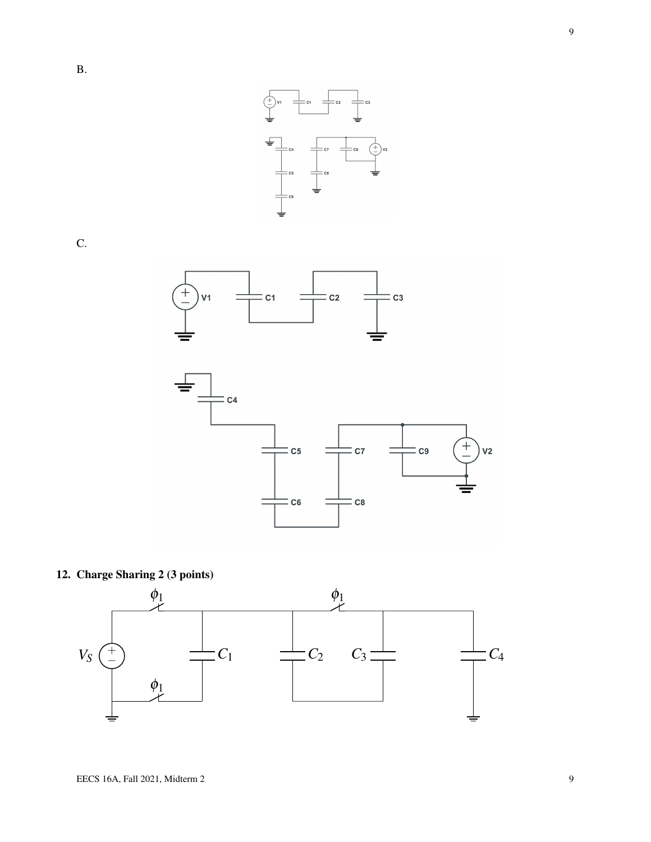

C.





# 12. Charge Sharing 2 (3 points)

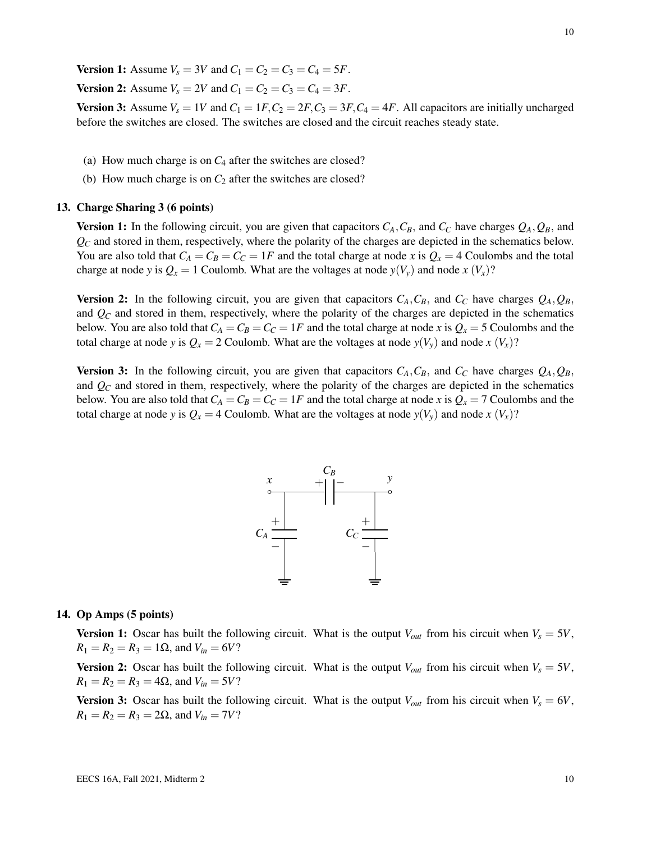**Version 1:** Assume  $V_s = 3V$  and  $C_1 = C_2 = C_3 = C_4 = 5F$ .

**Version 2:** Assume  $V_s = 2V$  and  $C_1 = C_2 = C_3 = C_4 = 3F$ .

**Version 3:** Assume  $V_s = 1V$  and  $C_1 = 1F$ ,  $C_2 = 2F$ ,  $C_3 = 3F$ ,  $C_4 = 4F$ . All capacitors are initially uncharged before the switches are closed. The switches are closed and the circuit reaches steady state.

- (a) How much charge is on *C*<sup>4</sup> after the switches are closed?
- (b) How much charge is on  $C_2$  after the switches are closed?

### 13. Charge Sharing 3 (6 points)

**Version 1:** In the following circuit, you are given that capacitors  $C_A$ ,  $C_B$ , and  $C_C$  have charges  $Q_A$ ,  $Q_B$ , and  $Q_C$  and stored in them, respectively, where the polarity of the charges are depicted in the schematics below. You are also told that  $C_A = C_B = C_C = 1F$  and the total charge at node *x* is  $Q_x = 4$  Coulombs and the total charge at node *y* is  $Q_x = 1$  Coulomb. What are the voltages at node  $y(V_y)$  and node  $x(V_x)$ ?

**Version 2:** In the following circuit, you are given that capacitors  $C_A$ ,  $C_B$ , and  $C_C$  have charges  $Q_A$ ,  $Q_B$ , and *Q<sup>C</sup>* and stored in them, respectively, where the polarity of the charges are depicted in the schematics below. You are also told that  $C_A = C_B = C_C = 1F$  and the total charge at node *x* is  $Q_x = 5$  Coulombs and the total charge at node *y* is  $Q_x = 2$  Coulomb. What are the voltages at node  $y(V_y)$  and node  $x(V_x)$ ?

Version 3: In the following circuit, you are given that capacitors  $C_A$ ,  $C_B$ , and  $C_C$  have charges  $Q_A$ ,  $Q_B$ , and *Q<sup>C</sup>* and stored in them, respectively, where the polarity of the charges are depicted in the schematics below. You are also told that  $C_A = C_B = C_C = 1F$  and the total charge at node *x* is  $Q_x = 7$  Coulombs and the total charge at node *y* is  $Q_x = 4$  Coulomb. What are the voltages at node  $y(V_y)$  and node  $x(V_x)$ ?



#### 14. Op Amps (5 points)

**Version 1:** Oscar has built the following circuit. What is the output  $V_{out}$  from his circuit when  $V_s = 5V$ ,  $R_1 = R_2 = R_3 = 1\Omega$ , and  $V_{in} = 6V$ ?

**Version 2:** Oscar has built the following circuit. What is the output  $V_{out}$  from his circuit when  $V_s = 5V$ ,  $R_1 = R_2 = R_3 = 4\Omega$ , and  $V_{in} = 5V$ ?

**Version 3:** Oscar has built the following circuit. What is the output  $V_{out}$  from his circuit when  $V_s = 6V$ ,  $R_1 = R_2 = R_3 = 2\Omega$ , and  $V_{in} = 7V$ ?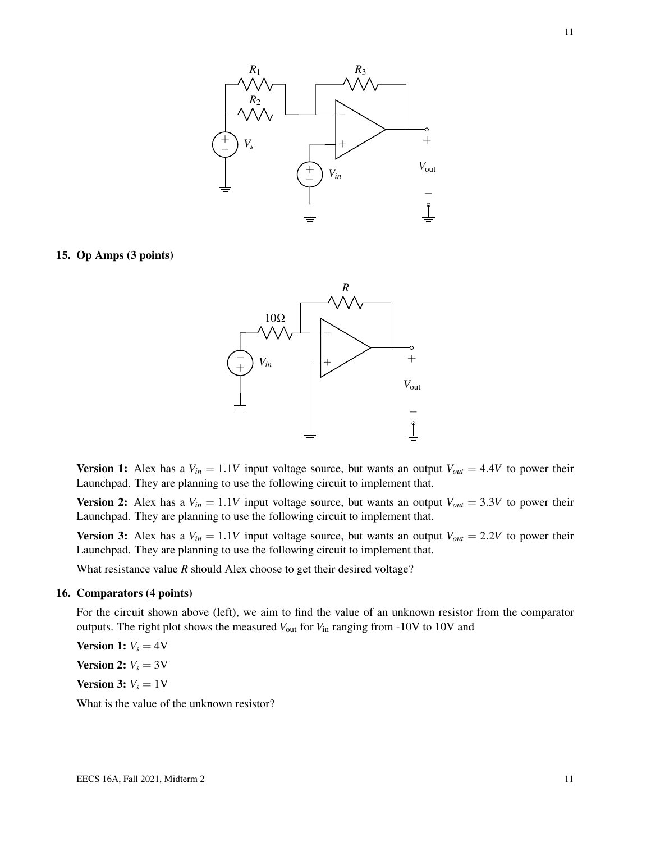

15. Op Amps (3 points)



**Version 1:** Alex has a  $V_{in} = 1.1V$  input voltage source, but wants an output  $V_{out} = 4.4V$  to power their Launchpad. They are planning to use the following circuit to implement that.

**Version 2:** Alex has a  $V_{in} = 1.1V$  input voltage source, but wants an output  $V_{out} = 3.3V$  to power their Launchpad. They are planning to use the following circuit to implement that.

**Version 3:** Alex has a  $V_{in} = 1.1V$  input voltage source, but wants an output  $V_{out} = 2.2V$  to power their Launchpad. They are planning to use the following circuit to implement that.

What resistance value *R* should Alex choose to get their desired voltage?

### 16. Comparators (4 points)

For the circuit shown above (left), we aim to find the value of an unknown resistor from the comparator outputs. The right plot shows the measured  $V_{\text{out}}$  for  $V_{\text{in}}$  ranging from -10V to 10V and

**Version 1:**  $V_s = 4V$ 

**Version 2:**  $V_s = 3V$ 

**Version 3:**  $V_s = 1$  V

What is the value of the unknown resistor?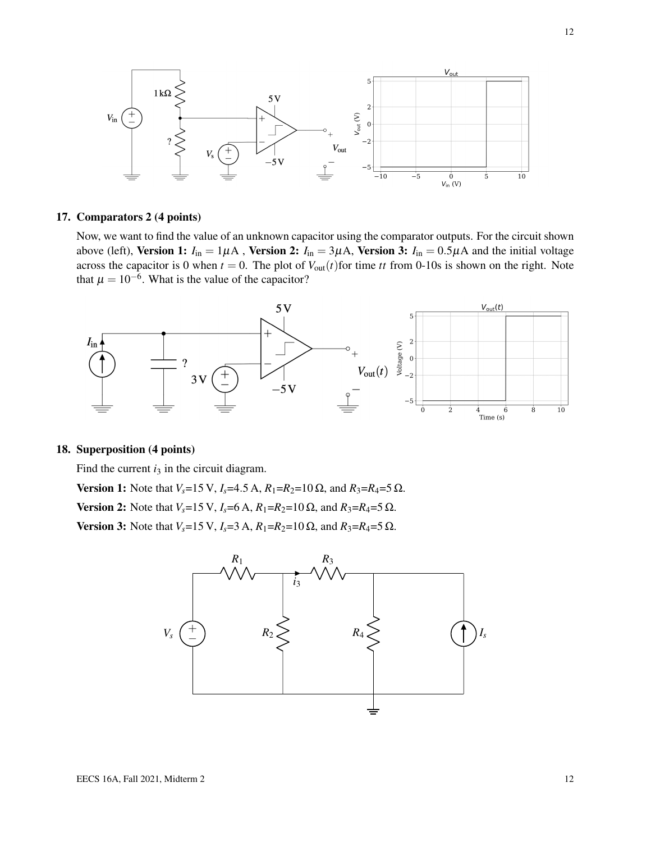

### 17. Comparators 2 (4 points)

Now, we want to find the value of an unknown capacitor using the comparator outputs. For the circuit shown above (left), Version 1:  $I_{in} = 1\mu A$ , Version 2:  $I_{in} = 3\mu A$ , Version 3:  $I_{in} = 0.5\mu A$  and the initial voltage across the capacitor is 0 when  $t = 0$ . The plot of  $V_{out}(t)$  for time *tt* from 0-10s is shown on the right. Note that  $\mu = 10^{-6}$ . What is the value of the capacitor?



# 18. Superposition (4 points)

Find the current  $i_3$  in the circuit diagram.

Version 1: Note that  $V_s = 15$  V,  $I_s = 4.5$  A,  $R_1 = R_2 = 10$  Ω, and  $R_3 = R_4 = 5$  Ω.

Version 2: Note that *V<sub>s</sub>*=15 V, *I<sub>s</sub>*=6 A, *R*<sub>1</sub>=*R*<sub>2</sub>=10 Ω, and *R*<sub>3</sub>=*R*<sub>4</sub>=5 Ω.

Version 3: Note that  $V_s = 15$  V,  $I_s = 3$  A,  $R_1 = R_2 = 10$  Ω, and  $R_3 = R_4 = 5$  Ω.

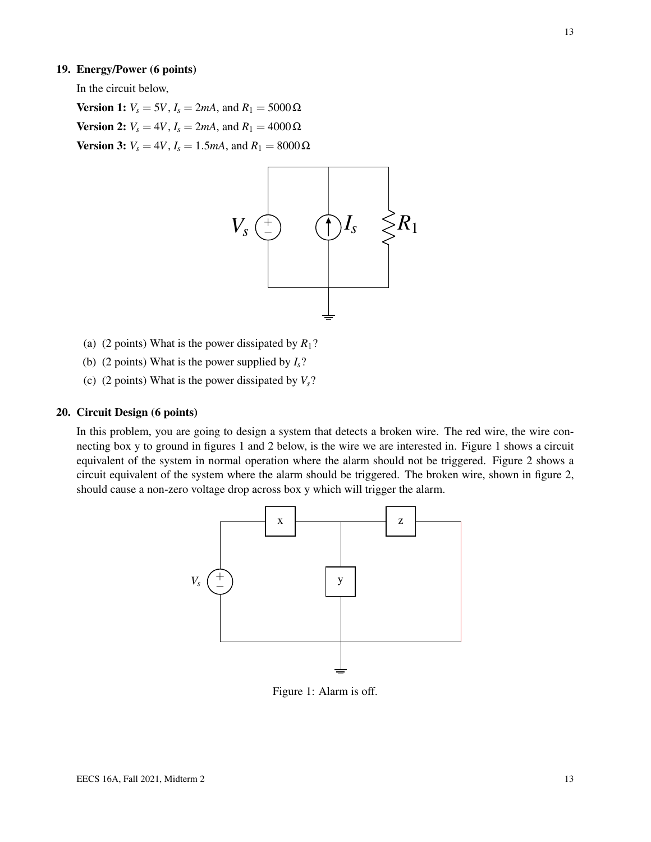### 19. Energy/Power (6 points)

In the circuit below,

**Version 1:**  $V_s = 5V$ ,  $I_s = 2mA$ , and  $R_1 = 5000 Ω$ **Version 2:**  $V_s = 4V$ ,  $I_s = 2mA$ , and  $R_1 = 4000 Ω$ **Version 3:**  $V_s = 4V$ ,  $I_s = 1.5mA$ , and  $R_1 = 8000 Ω$ 



- (a) (2 points) What is the power dissipated by  $R_1$ ?
- (b) (2 points) What is the power supplied by  $I_s$ ?
- (c) (2 points) What is the power dissipated by  $V_s$ ?

### 20. Circuit Design (6 points)

In this problem, you are going to design a system that detects a broken wire. The red wire, the wire connecting box y to ground in figures 1 and 2 below, is the wire we are interested in. Figure 1 shows a circuit equivalent of the system in normal operation where the alarm should not be triggered. Figure 2 shows a circuit equivalent of the system where the alarm should be triggered. The broken wire, shown in figure 2, should cause a non-zero voltage drop across box y which will trigger the alarm.



Figure 1: Alarm is off.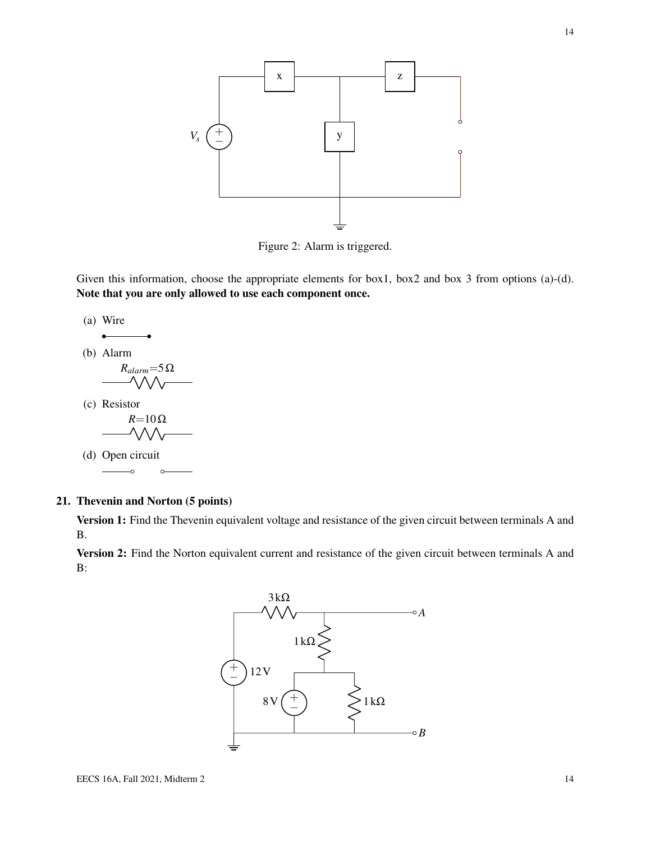

Figure 2: Alarm is triggered.

Given this information, choose the appropriate elements for box1, box2 and box 3 from options (a)-(d). Note that you are only allowed to use each component once.

(a) Wire **.** 

(b) Alarm

$$
\begin{array}{c}\nR_{alarm} = 5\Omega \\
-\sqrt{\sqrt{\sqrt{\sqrt{1-\frac{1}{2}}}}\n\end{array}
$$

(c) Resistor *R*=10Ω<br>ΛΛΛ

(d) Open circuit

# 21. Thevenin and Norton (5 points)

Version 1: Find the Thevenin equivalent voltage and resistance of the given circuit between terminals A and B.

Version 2: Find the Norton equivalent current and resistance of the given circuit between terminals A and B: